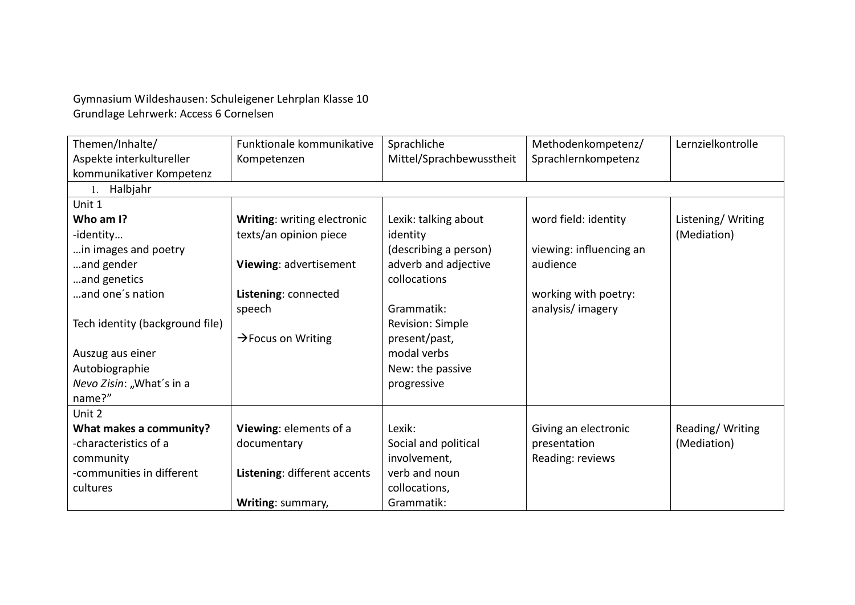Gymnasium Wildeshausen: Schuleigener Lehrplan Klasse 10 Grundlage Lehrwerk: Access 6 Cornelsen

| Themen/Inhalte/                 | Funktionale kommunikative      | Sprachliche              | Methodenkompetenz/      | Lernzielkontrolle |
|---------------------------------|--------------------------------|--------------------------|-------------------------|-------------------|
| Aspekte interkultureller        | Kompetenzen                    | Mittel/Sprachbewusstheit | Sprachlernkompetenz     |                   |
| kommunikativer Kompetenz        |                                |                          |                         |                   |
| 1. Halbjahr                     |                                |                          |                         |                   |
| Unit 1                          |                                |                          |                         |                   |
| Who am I?                       | Writing: writing electronic    | Lexik: talking about     | word field: identity    | Listening/Writing |
| -identity                       | texts/an opinion piece         | identity                 |                         | (Mediation)       |
| in images and poetry            |                                | (describing a person)    | viewing: influencing an |                   |
| and gender                      | Viewing: advertisement         | adverb and adjective     | audience                |                   |
| and genetics                    |                                | collocations             |                         |                   |
| and one's nation                | Listening: connected           |                          | working with poetry:    |                   |
|                                 | speech                         | Grammatik:               | analysis/imagery        |                   |
| Tech identity (background file) |                                | Revision: Simple         |                         |                   |
|                                 | $\rightarrow$ Focus on Writing | present/past,            |                         |                   |
| Auszug aus einer                |                                | modal verbs              |                         |                   |
| Autobiographie                  |                                | New: the passive         |                         |                   |
| Nevo Zisin: "What's in a        |                                | progressive              |                         |                   |
| name?"                          |                                |                          |                         |                   |
| Unit 2                          |                                |                          |                         |                   |
| What makes a community?         | Viewing: elements of a         | Lexik:                   | Giving an electronic    | Reading/Writing   |
| -characteristics of a           | documentary                    | Social and political     | presentation            | (Mediation)       |
| community                       |                                | involvement,             | Reading: reviews        |                   |
| -communities in different       | Listening: different accents   | verb and noun            |                         |                   |
| cultures                        |                                | collocations,            |                         |                   |
|                                 | Writing: summary,              | Grammatik:               |                         |                   |